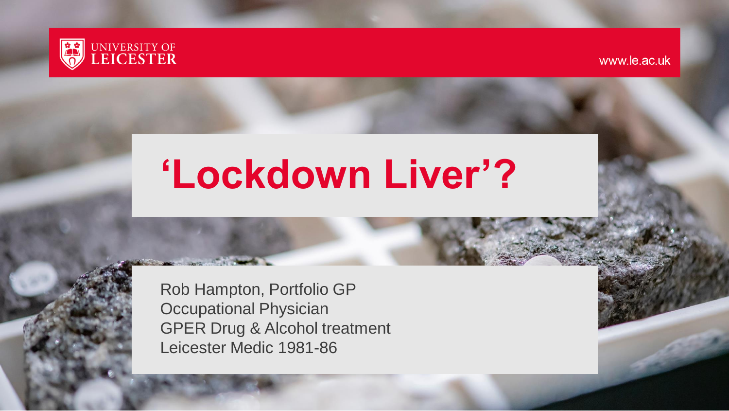

www.le.ac.uk

# **'Lockdown Liver'?**

Rob Hampton, Portfolio GP Occupational Physician GPER Drug & Alcohol treatment Leicester Medic 1981-86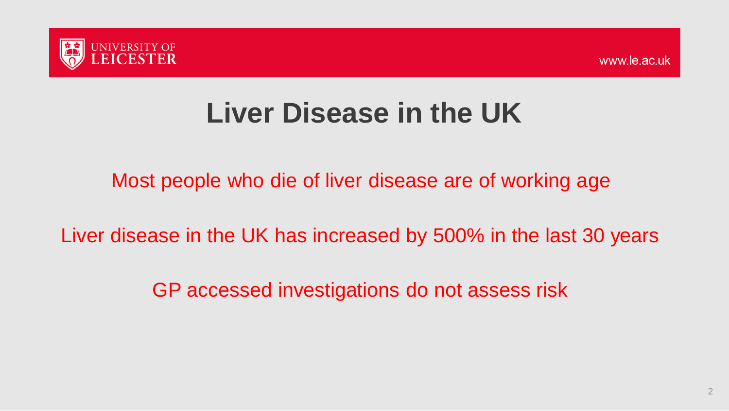

## **Liver Disease in the UK**

Most people who die of liver disease are of working age

Liver disease in the UK has increased by 500% in the last 30 years

GP accessed investigations do not assess risk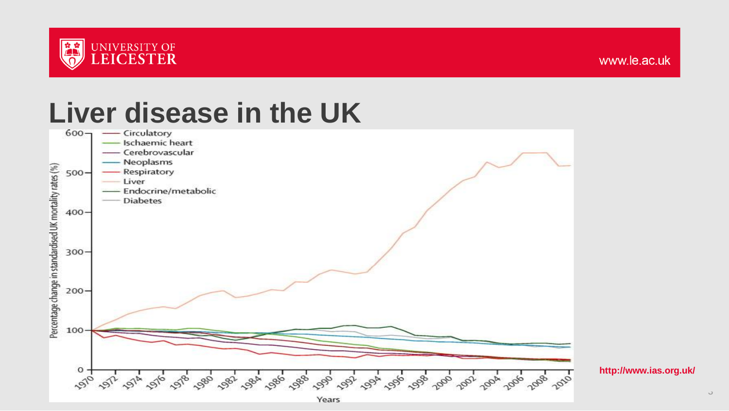

# Liver disease in the UK



**http://www.ias.org.uk/**

 $\circ$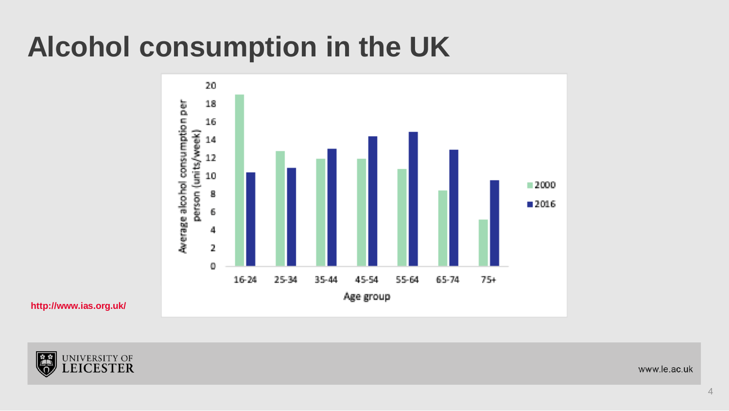## **Alcohol consumption in the UK**



**http://www.ias.org.uk/**



www.le.ac.uk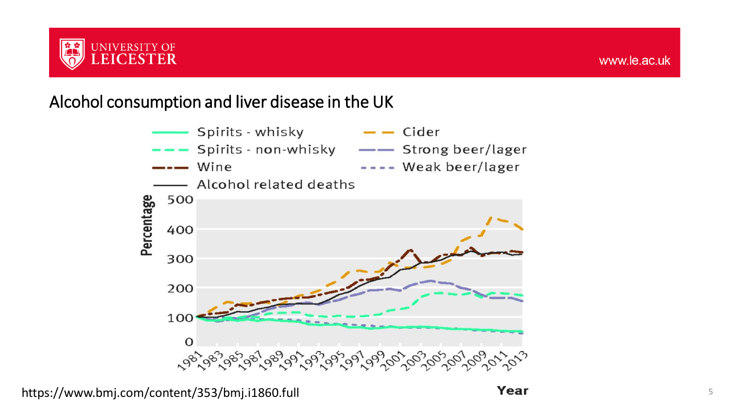

#### Alcohol consumption and liver disease in the UK

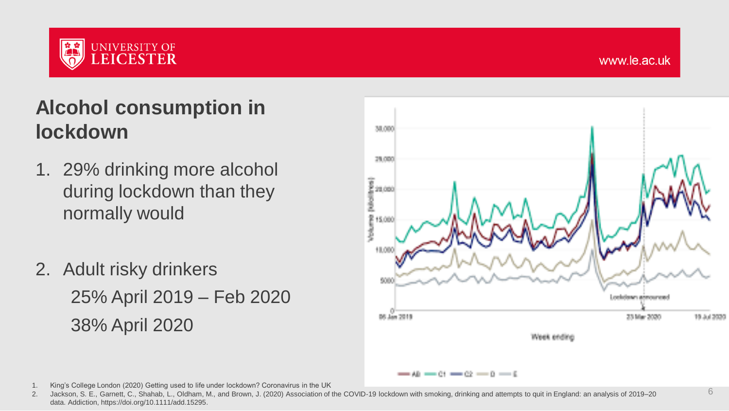

6

#### **Alcohol consumption in lockdown**

- 1. 29% drinking more alcohol during lockdown than they normally would
- 2. Adult risky drinkers 25% April 2019 – Feb 2020 38% April 2020



1. King's College London (2020) Getting used to life under lockdown? Coronavirus in the UK

2. Jackson, S. E., Garnett, C., Shahab, L., Oldham, M., and Brown, J. (2020) Association of the COVID‐19 lockdown with smoking, drinking and attempts to quit in England: an analysis of 2019–20 data. Addiction, https://doi.org/10.1111/add.15295.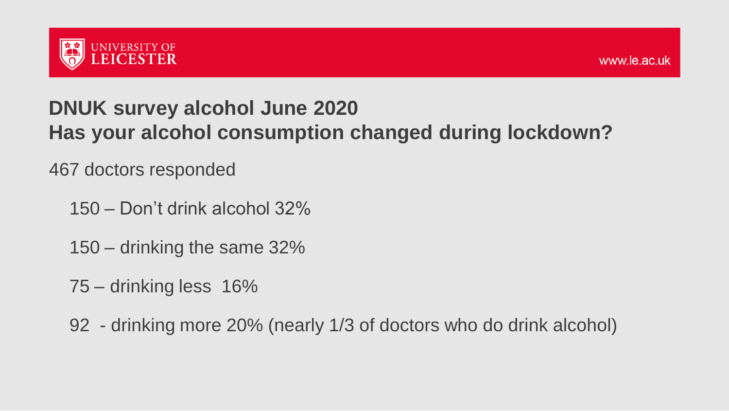

#### **DNUK survey alcohol June 2020 Has your alcohol consumption changed during lockdown?**

467 doctors responded

- 150 Don't drink alcohol 32%
- 150 drinking the same 32%
- 75 drinking less 16%
- 92 drinking more 20% (nearly 1/3 of doctors who do drink alcohol)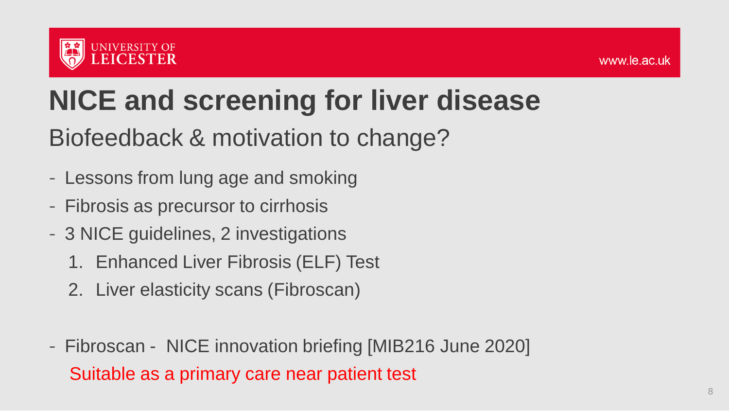

# **NICE and screening for liver disease**

#### Biofeedback & motivation to change?

- Lessons from lung age and smoking
- Fibrosis as precursor to cirrhosis
- 3 NICE guidelines, 2 investigations
	- 1. Enhanced Liver Fibrosis (ELF) Test
	- 2. Liver elasticity scans (Fibroscan)
- Fibroscan NICE innovation briefing [MIB216 June 2020] Suitable as a primary care near patient test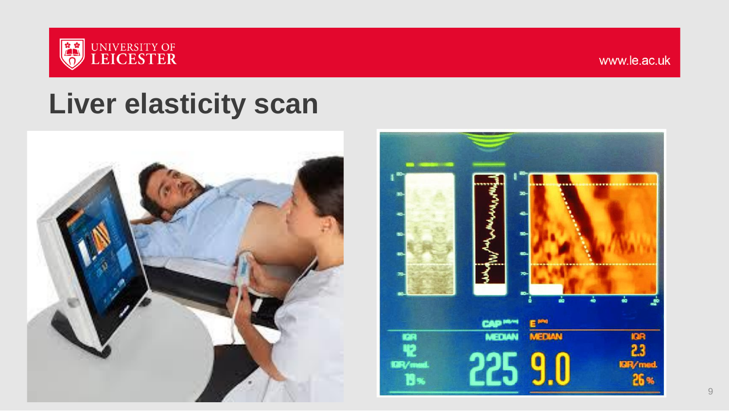

### **Liver elasticity scan**



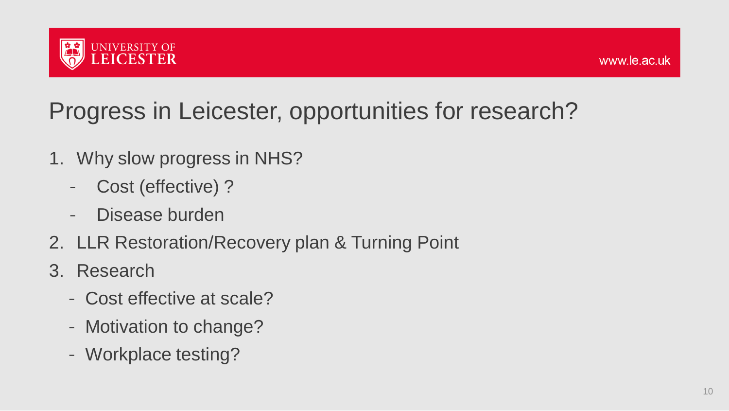

#### Progress in Leicester, opportunities for research?

- 1. Why slow progress in NHS?
	- Cost (effective) ?
	- Disease burden
- 2. LLR Restoration/Recovery plan & Turning Point
- 3. Research
	- Cost effective at scale?
	- Motivation to change?
	- Workplace testing?